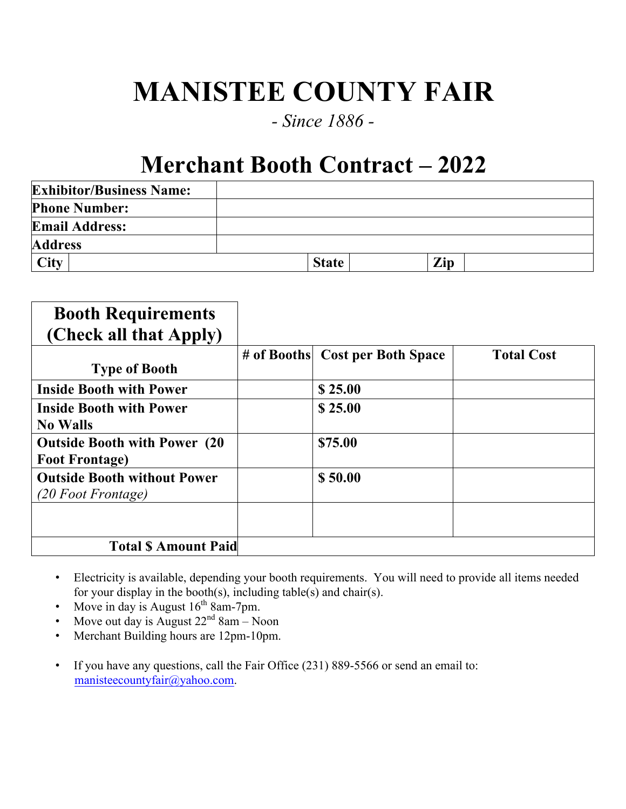## **MANISTEE COUNTY FAIR**

## *- Since 1886 -*

## **Merchant Booth Contract – 2022**

| <b>Exhibitor/Business Name:</b> |              |     |  |
|---------------------------------|--------------|-----|--|
| <b>Phone Number:</b>            |              |     |  |
| <b>Email Address:</b>           |              |     |  |
| <b>Address</b>                  |              |     |  |
| <b>City</b>                     | <b>State</b> | Zip |  |

| <b>Booth Requirements</b>            |                                 |                   |
|--------------------------------------|---------------------------------|-------------------|
| (Check all that Apply)               |                                 |                   |
|                                      | # of Booths Cost per Both Space | <b>Total Cost</b> |
| <b>Type of Booth</b>                 |                                 |                   |
| <b>Inside Booth with Power</b>       | \$25.00                         |                   |
| <b>Inside Booth with Power</b>       | \$25.00                         |                   |
| <b>No Walls</b>                      |                                 |                   |
| <b>Outside Booth with Power (20)</b> | \$75.00                         |                   |
| <b>Foot Frontage)</b>                |                                 |                   |
| <b>Outside Booth without Power</b>   | \$50.00                         |                   |
| (20 Foot Frontage)                   |                                 |                   |
|                                      |                                 |                   |
|                                      |                                 |                   |
| <b>Total S Amount Paid</b>           |                                 |                   |

- Electricity is available, depending your booth requirements. You will need to provide all items needed for your display in the booth(s), including table(s) and chair(s).
- Move in day is August  $16^{th}$  8am-7pm.
- Move out day is August  $22<sup>nd</sup> 8am Noon$
- Merchant Building hours are 12pm-10pm.
- If you have any questions, call the Fair Office (231) 889-5566 or send an email to: manisteecountyfair@yahoo.com.